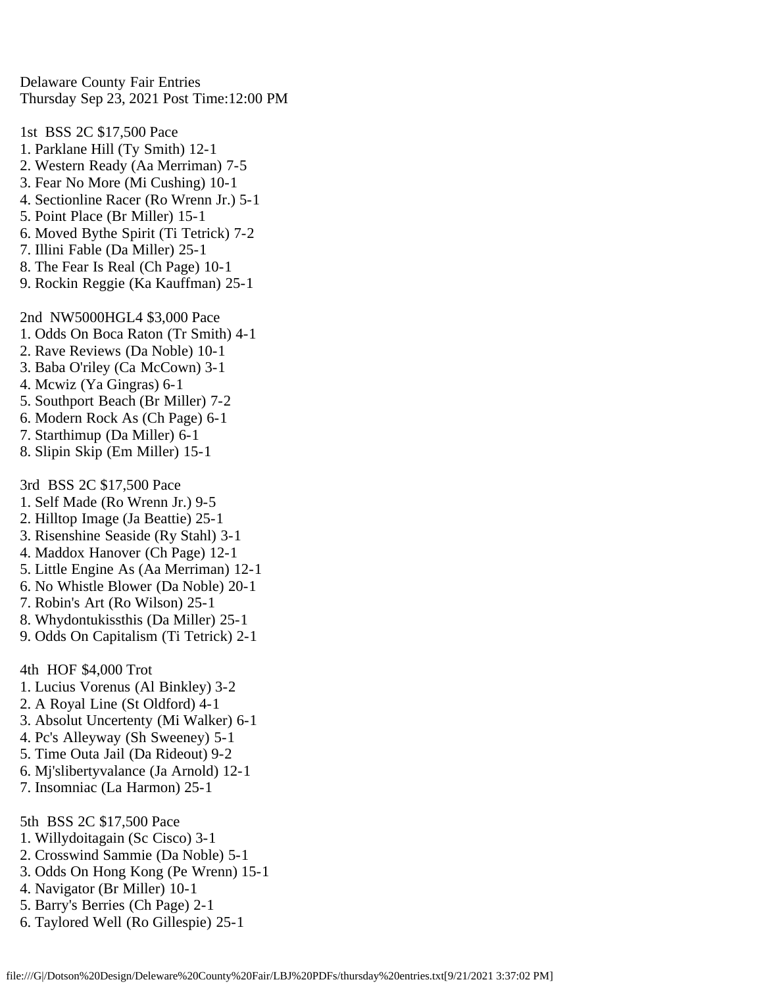Delaware County Fair Entries Thursday Sep 23, 2021 Post Time:12:00 PM

1st BSS 2C \$17,500 Pace 1. Parklane Hill (Ty Smith) 12-1 2. Western Ready (Aa Merriman) 7-5 3. Fear No More (Mi Cushing) 10-1 4. Sectionline Racer (Ro Wrenn Jr.) 5-1 5. Point Place (Br Miller) 15-1 6. Moved Bythe Spirit (Ti Tetrick) 7-2 7. Illini Fable (Da Miller) 25-1 8. The Fear Is Real (Ch Page) 10-1 9. Rockin Reggie (Ka Kauffman) 25-1 2nd NW5000HGL4 \$3,000 Pace 1. Odds On Boca Raton (Tr Smith) 4-1 2. Rave Reviews (Da Noble) 10-1 3. Baba O'riley (Ca McCown) 3-1 4. Mcwiz (Ya Gingras) 6-1 5. Southport Beach (Br Miller) 7-2 6. Modern Rock As (Ch Page) 6-1 7. Starthimup (Da Miller) 6-1 8. Slipin Skip (Em Miller) 15-1 3rd BSS 2C \$17,500 Pace 1. Self Made (Ro Wrenn Jr.) 9-5 2. Hilltop Image (Ja Beattie) 25-1 3. Risenshine Seaside (Ry Stahl) 3-1 4. Maddox Hanover (Ch Page) 12-1 5. Little Engine As (Aa Merriman) 12-1 6. No Whistle Blower (Da Noble) 20-1 7. Robin's Art (Ro Wilson) 25-1 8. Whydontukissthis (Da Miller) 25-1 9. Odds On Capitalism (Ti Tetrick) 2-1 4th HOF \$4,000 Trot 1. Lucius Vorenus (Al Binkley) 3-2 2. A Royal Line (St Oldford) 4-1 3. Absolut Uncertenty (Mi Walker) 6-1 4. Pc's Alleyway (Sh Sweeney) 5-1

- 5. Time Outa Jail (Da Rideout) 9-2
- 6. Mj'slibertyvalance (Ja Arnold) 12-1
- 7. Insomniac (La Harmon) 25-1
- 5th BSS 2C \$17,500 Pace
- 1. Willydoitagain (Sc Cisco) 3-1
- 2. Crosswind Sammie (Da Noble) 5-1
- 3. Odds On Hong Kong (Pe Wrenn) 15-1
- 4. Navigator (Br Miller) 10-1
- 5. Barry's Berries (Ch Page) 2-1
- 6. Taylored Well (Ro Gillespie) 25-1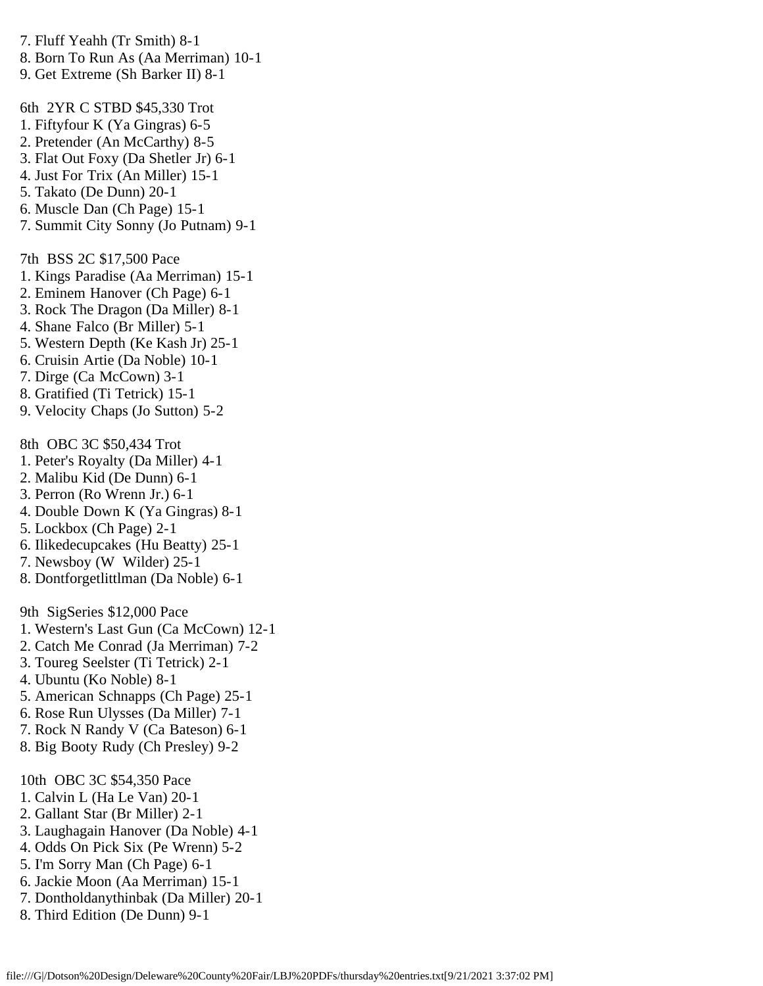7. Fluff Yeahh (Tr Smith) 8-1 8. Born To Run As (Aa Merriman) 10-1

9. Get Extreme (Sh Barker II) 8-1

6th 2YR C STBD \$45,330 Trot

- 1. Fiftyfour K (Ya Gingras) 6-5
- 2. Pretender (An McCarthy) 8-5
- 3. Flat Out Foxy (Da Shetler Jr) 6-1
- 4. Just For Trix (An Miller) 15-1
- 5. Takato (De Dunn) 20-1
- 6. Muscle Dan (Ch Page) 15-1
- 7. Summit City Sonny (Jo Putnam) 9-1

7th BSS 2C \$17,500 Pace

- 1. Kings Paradise (Aa Merriman) 15-1
- 2. Eminem Hanover (Ch Page) 6-1
- 3. Rock The Dragon (Da Miller) 8-1
- 4. Shane Falco (Br Miller) 5-1
- 5. Western Depth (Ke Kash Jr) 25-1
- 6. Cruisin Artie (Da Noble) 10-1
- 7. Dirge (Ca McCown) 3-1
- 8. Gratified (Ti Tetrick) 15-1
- 9. Velocity Chaps (Jo Sutton) 5-2

8th OBC 3C \$50,434 Trot

- 1. Peter's Royalty (Da Miller) 4-1
- 2. Malibu Kid (De Dunn) 6-1
- 3. Perron (Ro Wrenn Jr.) 6-1
- 4. Double Down K (Ya Gingras) 8-1
- 5. Lockbox (Ch Page) 2-1
- 6. Ilikedecupcakes (Hu Beatty) 25-1
- 7. Newsboy (W Wilder) 25-1
- 8. Dontforgetlittlman (Da Noble) 6-1

9th SigSeries \$12,000 Pace

- 1. Western's Last Gun (Ca McCown) 12-1
- 2. Catch Me Conrad (Ja Merriman) 7-2
- 3. Toureg Seelster (Ti Tetrick) 2-1
- 4. Ubuntu (Ko Noble) 8-1
- 5. American Schnapps (Ch Page) 25-1
- 6. Rose Run Ulysses (Da Miller) 7-1
- 7. Rock N Randy V (Ca Bateson) 6-1
- 8. Big Booty Rudy (Ch Presley) 9-2

10th OBC 3C \$54,350 Pace

- 1. Calvin L (Ha Le Van) 20-1
- 2. Gallant Star (Br Miller) 2-1
- 3. Laughagain Hanover (Da Noble) 4-1
- 4. Odds On Pick Six (Pe Wrenn) 5-2
- 5. I'm Sorry Man (Ch Page) 6-1
- 6. Jackie Moon (Aa Merriman) 15-1
- 7. Dontholdanythinbak (Da Miller) 20-1
- 8. Third Edition (De Dunn) 9-1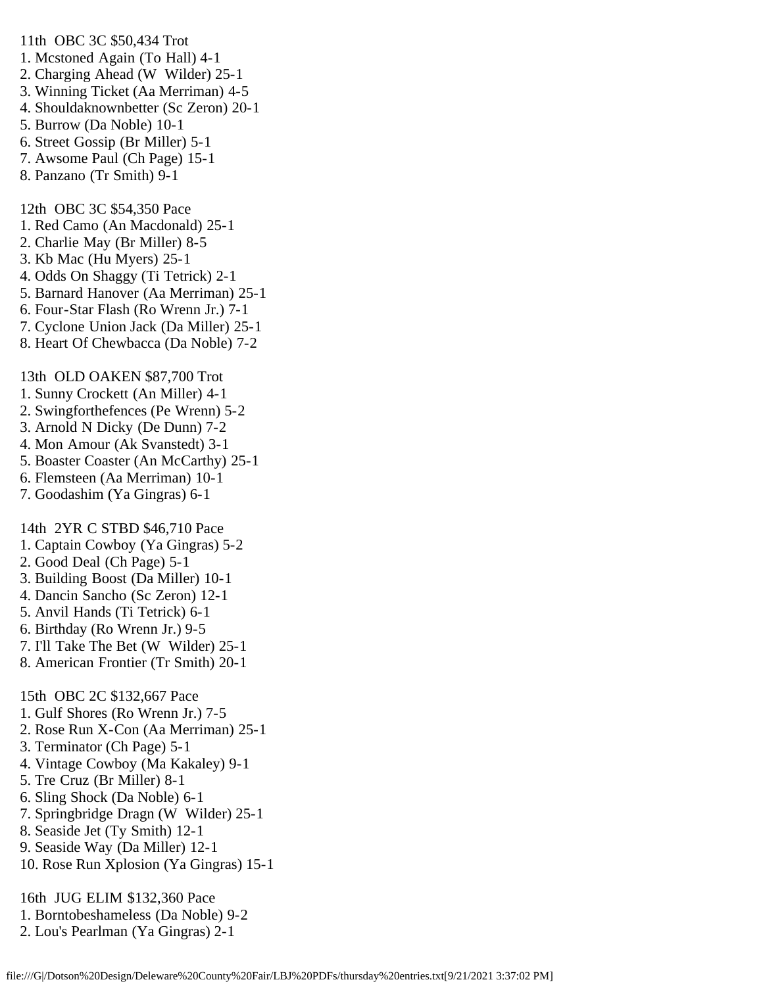- 11th OBC 3C \$50,434 Trot
- 1. Mcstoned Again (To Hall) 4-1
- 2. Charging Ahead (W Wilder) 25-1
- 3. Winning Ticket (Aa Merriman) 4-5
- 4. Shouldaknownbetter (Sc Zeron) 20-1
- 5. Burrow (Da Noble) 10-1
- 6. Street Gossip (Br Miller) 5-1
- 7. Awsome Paul (Ch Page) 15-1
- 8. Panzano (Tr Smith) 9-1

12th OBC 3C \$54,350 Pace

- 1. Red Camo (An Macdonald) 25-1
- 2. Charlie May (Br Miller) 8-5
- 3. Kb Mac (Hu Myers) 25-1
- 4. Odds On Shaggy (Ti Tetrick) 2-1
- 5. Barnard Hanover (Aa Merriman) 25-1
- 6. Four-Star Flash (Ro Wrenn Jr.) 7-1
- 7. Cyclone Union Jack (Da Miller) 25-1
- 8. Heart Of Chewbacca (Da Noble) 7-2

13th OLD OAKEN \$87,700 Trot

- 1. Sunny Crockett (An Miller) 4-1
- 2. Swingforthefences (Pe Wrenn) 5-2
- 3. Arnold N Dicky (De Dunn) 7-2
- 4. Mon Amour (Ak Svanstedt) 3-1
- 5. Boaster Coaster (An McCarthy) 25-1
- 6. Flemsteen (Aa Merriman) 10-1
- 7. Goodashim (Ya Gingras) 6-1

14th 2YR C STBD \$46,710 Pace

- 1. Captain Cowboy (Ya Gingras) 5-2
- 2. Good Deal (Ch Page) 5-1
- 3. Building Boost (Da Miller) 10-1
- 4. Dancin Sancho (Sc Zeron) 12-1
- 5. Anvil Hands (Ti Tetrick) 6-1
- 6. Birthday (Ro Wrenn Jr.) 9-5
- 7. I'll Take The Bet (W Wilder) 25-1
- 8. American Frontier (Tr Smith) 20-1

15th OBC 2C \$132,667 Pace

- 1. Gulf Shores (Ro Wrenn Jr.) 7-5
- 2. Rose Run X-Con (Aa Merriman) 25-1
- 3. Terminator (Ch Page) 5-1
- 4. Vintage Cowboy (Ma Kakaley) 9-1
- 5. Tre Cruz (Br Miller) 8-1
- 6. Sling Shock (Da Noble) 6-1
- 7. Springbridge Dragn (W Wilder) 25-1
- 8. Seaside Jet (Ty Smith) 12-1
- 9. Seaside Way (Da Miller) 12-1
- 10. Rose Run Xplosion (Ya Gingras) 15-1

16th JUG ELIM \$132,360 Pace

- 1. Borntobeshameless (Da Noble) 9-2
- 2. Lou's Pearlman (Ya Gingras) 2-1